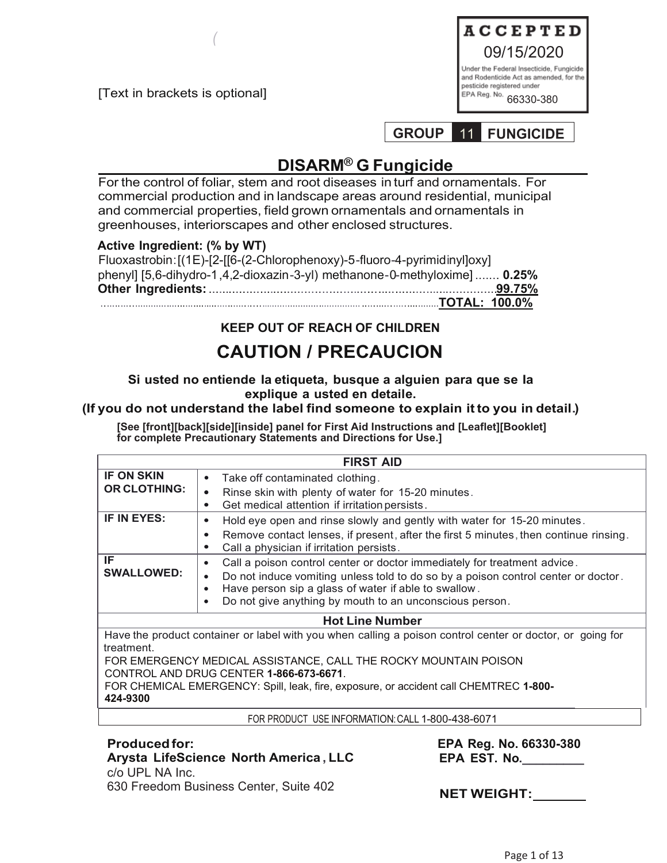[Text in brackets is optional]

*(*



**GROUP** 11 **FUNGICIDE** 

# **DISARM® G Fungicide**

For the control of foliar, stem and root diseases in turf and ornamentals. For commercial production and in landscape areas around residential, municipal and commercial properties, field grown ornamentals and ornamentals in greenhouses, interiorscapes and other enclosed structures.

## **Active Ingredient: (% by WT)**

| Fluoxastrobin: [(1E)-[2-[[6-(2-Chlorophenoxy)-5-fluoro-4-pyrimidinyl]oxy]   |  |
|-----------------------------------------------------------------------------|--|
| phenyl] $[5,6$ -dihydro-1,4,2-dioxazin-3-yl) methanone-0-methyloxime] 0.25% |  |
|                                                                             |  |
|                                                                             |  |

# **KEEP OUT OF REACH OF CHILDREN**

# **CAUTION / PRECAUCION**

## **Si usted no entiende Ia etiqueta, busque a alguien para que se Ia explique a usted en detaile.**

## **(If you do not understand the label find someone to explain it to you in detail.)**

**[See [front][back][side][inside] panel for First Aid Instructions and [Leaflet][Booklet] for complete Precautionary Statements and Directions for Use.]**

|                         | <b>FIRST AID</b>                                                                                                                                                                                                                                                                                           |  |  |  |  |
|-------------------------|------------------------------------------------------------------------------------------------------------------------------------------------------------------------------------------------------------------------------------------------------------------------------------------------------------|--|--|--|--|
| <b>IF ON SKIN</b>       | Take off contaminated clothing.<br>$\bullet$                                                                                                                                                                                                                                                               |  |  |  |  |
| <b>OR CLOTHING:</b>     | Rinse skin with plenty of water for 15-20 minutes.<br>О<br>Get medical attention if irritation persists.                                                                                                                                                                                                   |  |  |  |  |
| IF IN EYES:             | Hold eye open and rinse slowly and gently with water for 15-20 minutes.<br>Remove contact lenses, if present, after the first 5 minutes, then continue rinsing.<br>Call a physician if irritation persists.                                                                                                |  |  |  |  |
| IF<br><b>SWALLOWED:</b> | Call a poison control center or doctor immediately for treatment advice.<br>$\bullet$<br>Do not induce vomiting unless told to do so by a poison control center or doctor.<br>$\bullet$<br>Have person sip a glass of water if able to swallow.<br>Do not give anything by mouth to an unconscious person. |  |  |  |  |

## **Hot Line Number**

Have the product container or label with you when calling a poison control center or doctor, or going for treatment.

FOR EMERGENCY MEDICAL ASSISTANCE, CALL THE ROCKY MOUNTAIN POISON CONTROL AND DRUG CENTER **1-866-673-6671**.

FOR CHEMICAL EMERGENCY: Spill, leak, fire, exposure, or accident call CHEMTREC **1-800- 424-9300**

FOR PRODUCT USE INFORMATION:CALL 1-800-438-6071

## **Produced for:**

# **Arysta LifeScience North America , LLC**  c/o UPL NA Inc.

630 Freedom Business Center, Suite 402

**EPA Reg. No. 66330-380 EPA EST. No.\_\_\_\_\_\_\_\_\_**

 **NET WEIGHT:**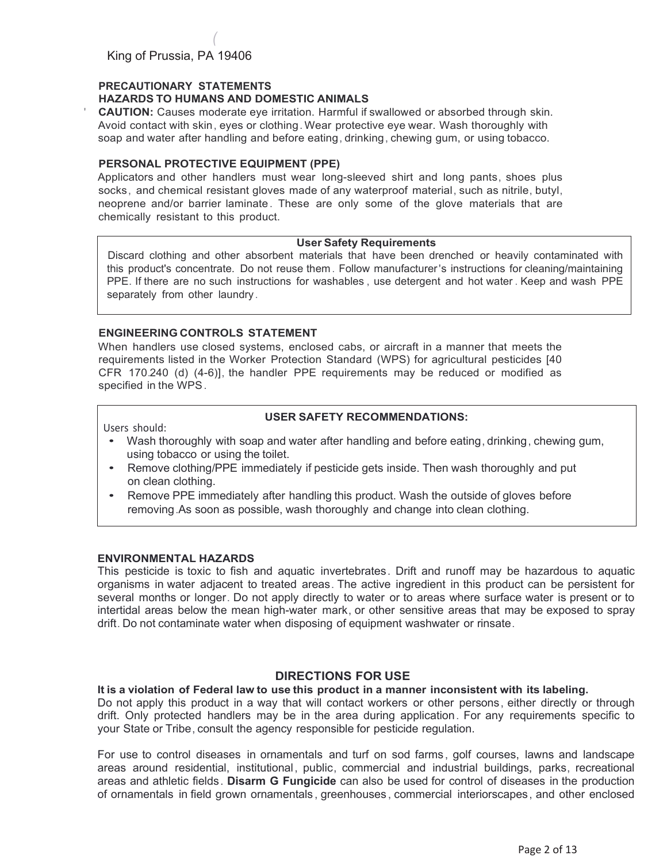## **PRECAUTIONARY STATEMENTS**

*(*

### **HAZARDS TO HUMANS AND DOMESTIC ANIMALS**

**CAUTION:** Causes moderate eye irritation. Harmful if swallowed or absorbed through skin. Avoid contact with skin, eyes or clothing. Wear protective eye wear. Wash thoroughly with soap and water after handling and before eating, drinking , chewing gum, or using tobacco.

### **PERSONAL PROTECTIVE EQUIPMENT (PPE)**

Applicators and other handlers must wear long-sleeved shirt and long pants, shoes plus socks, and chemical resistant gloves made of any waterproof material, such as nitrile, butyl, neoprene and/or barrier laminate. These are only some of the glove materials that are chemically resistant to this product.

### **User Safety Requirements**

Discard clothing and other absorbent materials that have been drenched or heavily contaminated with this product's concentrate. Do not reuse them . Follow manufacturer 's instructions for cleaning/maintaining PPE. If there are no such instructions for washables , use detergent and hot water . Keep and wash PPE separately from other laundry.

### **ENGINEERING CONTROLS STATEMENT**

When handlers use closed systems, enclosed cabs, or aircraft in a manner that meets the requirements listed in the Worker Protection Standard (WPS) for agricultural pesticides [40 CFR 170.240 (d) (4-6)], the handler PPE requirements may be reduced or modified as specified in the WPS .

## **USER SAFETY RECOMMENDATIONS:**

Users should:

- Wash thoroughly with soap and water after handling and before eating , drinking , chewing gum, using tobacco or using the toilet.
- Remove clothing/PPE immediately if pesticide gets inside. Then wash thoroughly and put on clean clothing.
- Remove PPE immediately after handling this product. Wash the outside of gloves before removing .As soon as possible, wash thoroughly and change into clean clothing.

## **ENVIRONMENTAL HAZARDS**

This pesticide is toxic to fish and aquatic invertebrates . Drift and runoff may be hazardous to aquatic organisms in water adjacent to treated areas. The active ingredient in this product can be persistent for several months or longer. Do not apply directly to water or to areas where surface water is present or to intertidal areas below the mean high-water mark, or other sensitive areas that may be exposed to spray drift. Do not contaminate water when disposing of equipment washwater or rinsate.

## **DIRECTIONS FOR USE**

**It is a violation of Federal law to use this product in a manner inconsistent with its labeling.**

Do not apply this product in a way that will contact workers or other persons , either directly or through drift. Only protected handlers may be in the area during application . For any requirements specific to your State or Tribe , consult the agency responsible for pesticide regulation.

For use to control diseases in ornamentals and turf on sod farms , golf courses, lawns and landscape areas around residential, institutional, public, commercial and industrial buildings, parks, recreational areas and athletic fields . **Disarm G Fungicide** can also be used for control of diseases in the production of ornamentals in field grown ornamentals , greenhouses , commercial interiorscapes , and other enclosed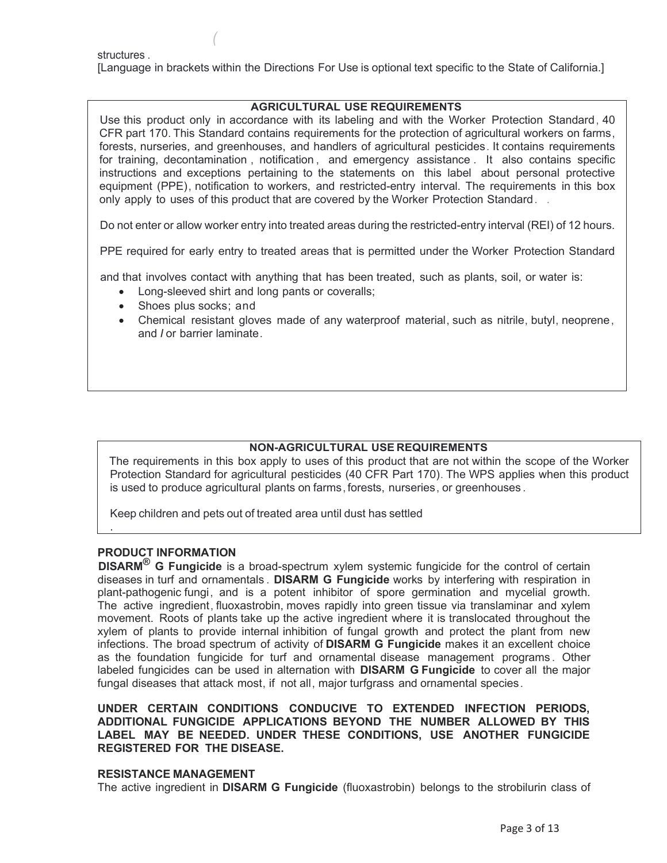structures .

[Language in brackets within the Directions For Use is optional text specific to the State of California.]

## **AGRICULTURAL USE REQUIREMENTS**

Use this product only in accordance with its labeling and with the Worker Protection Standard , 40 CFR part 170. This Standard contains requirements for the protection of agricultural workers on farms , forests, nurseries, and greenhouses, and handlers of agricultural pesticides. It contains requirements for training, decontamination , notification , and emergency assistance . It also contains specific instructions and exceptions pertaining to the statements on this label about personal protective equipment (PPE), notification to workers, and restricted-entry interval. The requirements in this box only apply to uses of this product that are covered by the Worker Protection Standard . .

Do not enter or allow worker entry into treated areas during the restricted-entry interval (REI) of 12 hours.

PPE required for early entry to treated areas that is permitted under the Worker Protection Standard

and that involves contact with anything that has been treated, such as plants, soil, or water is:

- Long-sleeved shirt and long pants or coveralls;
- Shoes plus socks; and

*(*

• Chemical resistant gloves made of any waterproof material, such as nitrile, butyl, neoprene, and *I* or barrier laminate .

#### **NON-AGRICULTURAL USE REQUIREMENTS**

The requirements in this box apply to uses of this product that are not within the scope of the Worker Protection Standard for agricultural pesticides (40 CFR Part 170). The WPS applies when this product is used to produce agricultural plants on farms , forests, nurseries , or greenhouses .

Keep children and pets out of treated area until dust has settled

## **PRODUCT INFORMATION**

.

**DISARM® G Fungicide** is a broad-spectrum xylem systemic fungicide for the control of certain diseases in turf and ornamentals . **DISARM G Fungicide** works by interfering with respiration in plant-pathogenic fungi , and is a potent inhibitor of spore germination and mycelial growth. The active ingredient, fluoxastrobin, moves rapidly into green tissue via translaminar and xylem movement. Roots of plants take up the active ingredient where it is translocated throughout the xylem of plants to provide internal inhibition of fungal growth and protect the plant from new infections. The broad spectrum of activity of **DISARM G Fungicide** makes it an excellent choice as the foundation fungicide for turf and ornamental disease management programs . Other labeled fungicides can be used in alternation with **DISARM G Fungicide** to cover all the major fungal diseases that attack most, if not all, major turfgrass and ornamental species .

**UNDER CERTAIN CONDITIONS CONDUCIVE TO EXTENDED INFECTION PERIODS, ADDITIONAL FUNGICIDE APPLICATIONS BEYOND THE NUMBER ALLOWED BY THIS LABEL MAY BE NEEDED. UNDER THESE CONDITIONS, USE ANOTHER FUNGICIDE REGISTERED FOR THE DISEASE.**

#### **RESISTANCE MANAGEMENT**

The active ingredient in **DISARM G Fungicide** (fluoxastrobin) belongs to the strobilurin class of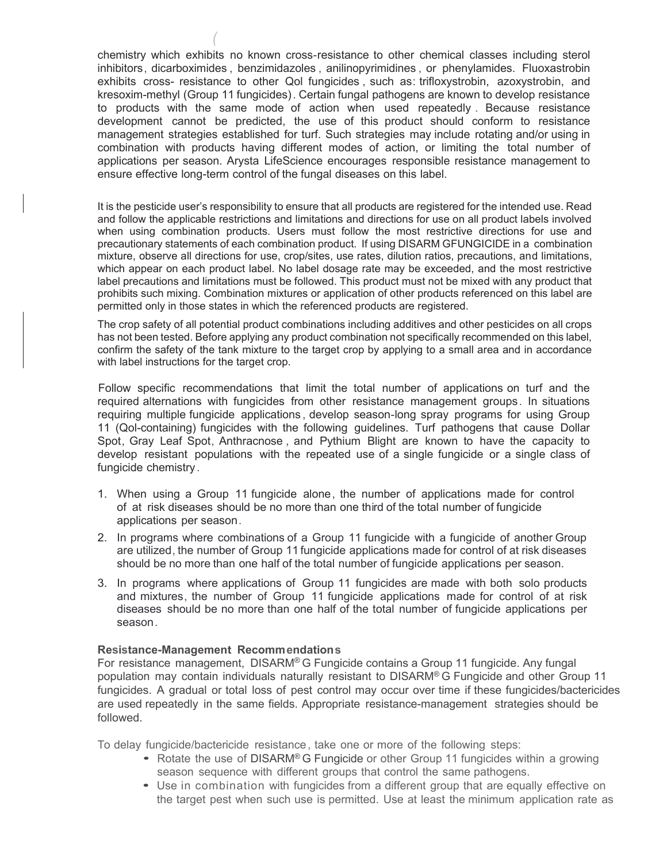chemistry which exhibits no known cross-resistance to other chemical classes including sterol inhibitors, dicarboximides , benzimidazoles , anilinopyrimidines , or phenylamides. Fluoxastrobin exhibits cross- resistance to other Qol fungicides , such as: trifloxystrobin, azoxystrobin, and kresoxim-methyl (Group 11 fungicides) . Certain fungal pathogens are known to develop resistance to products with the same mode of action when used repeatedly . Because resistance development cannot be predicted, the use of this product should conform to resistance management strategies established for turf. Such strategies may include rotating and/or using in combination with products having different modes of action, or limiting the total number of applications per season. Arysta LifeScience encourages responsible resistance management to ensure effective long-term control of the fungal diseases on this label.

It is the pesticide user's responsibility to ensure that all products are registered for the intended use. Read and follow the applicable restrictions and limitations and directions for use on all product labels involved when using combination products. Users must follow the most restrictive directions for use and precautionary statements of each combination product. If using DISARM GFUNGICIDE in a combination mixture, observe all directions for use, crop/sites, use rates, dilution ratios, precautions, and limitations, which appear on each product label. No label dosage rate may be exceeded, and the most restrictive label precautions and limitations must be followed. This product must not be mixed with any product that prohibits such mixing. Combination mixtures or application of other products referenced on this label are permitted only in those states in which the referenced products are registered.

The crop safety of all potential product combinations including additives and other pesticides on all crops has not been tested. Before applying any product combination not specifically recommended on this label, confirm the safety of the tank mixture to the target crop by applying to a small area and in accordance with label instructions for the target crop.

Follow specific recommendations that limit the total number of applications on turf and the required alternations with fungicides from other resistance management groups. In situations requiring multiple fungicide applications , develop season-long spray programs for using Group 11 (Qol-containing) fungicides with the following guidelines. Turf pathogens that cause Dollar Spot, Gray Leaf Spot, Anthracnose , and Pythium Blight are known to have the capacity to develop resistant populations with the repeated use of a single fungicide or a single class of fungicide chemistry .

- 1. When using a Group 11 fungicide alone , the number of applications made for control of at risk diseases should be no more than one third of the total number of fungicide applications per season .
- 2. In programs where combinations of a Group 11 fungicide with a fungicide of another Group are utilized , the number of Group 11 fungicide applications made for control of at risk diseases should be no more than one half of the total number of fungicide applications per season.
- 3. In programs where applications of Group 11 fungicides are made with both solo products and mixtures, the number of Group 11 fungicide applications made for control of at risk diseases should be no more than one half of the total number of fungicide applications per season .

#### **Resistance-Management Recommendations**

*(*

For resistance management, DISARM® G Fungicide contains a Group 11 fungicide. Any fungal population may contain individuals naturally resistant to DISARM® G Fungicide and other Group 11 fungicides. A gradual or total loss of pest control may occur over time if these fungicides/bactericides are used repeatedly in the same fields. Appropriate resistance-management strategies should be followed.

To delay fungicide/bactericide resistance, take one or more of the following steps:

- Rotate the use of DISARM® G Fungicide or other Group 11 fungicides within a growing season sequence with different groups that control the same pathogens.
- Use in combination with fungicides from a different group that are equally effective on the target pest when such use is permitted. Use at least the minimum application rate as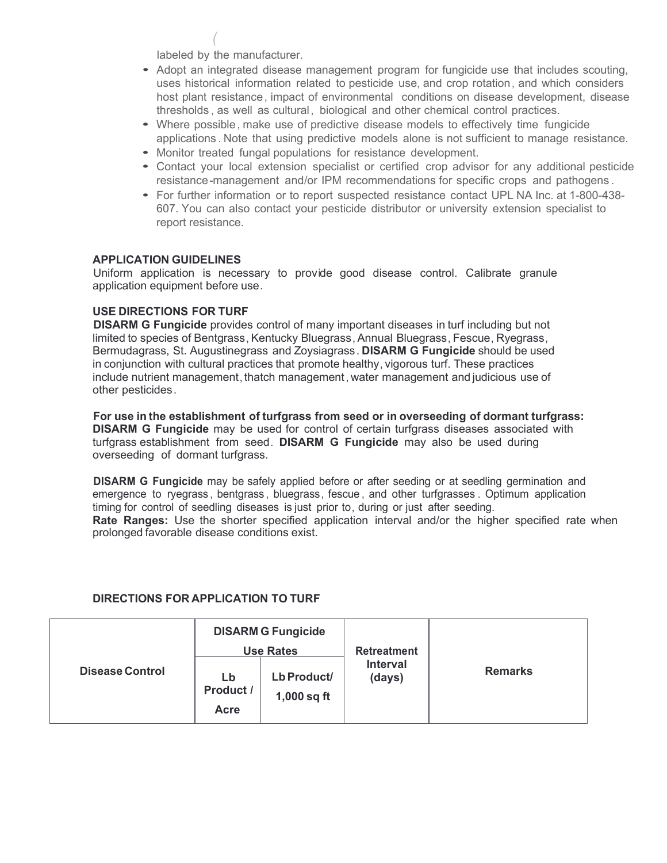labeled by the manufacturer.

*(*

- Adopt an integrated disease management program for fungicide use that includes scouting, uses historical information related to pesticide use, and crop rotation, and which considers host plant resistance, impact of environmental conditions on disease development, disease thresholds , as well as cultural, biological and other chemical control practices.
- Where possible, make use of predictive disease models to effectively time fungicide applications . Note that using predictive models alone is not sufficient to manage resistance.
- Monitor treated fungal populations for resistance development.
- Contact your local extension specialist or certified crop advisor for any additional pesticide resistance-management and/or IPM recommendations for specific crops and pathogens .
- For further information or to report suspected resistance contact UPL NA Inc. at 1-800-438- 607. You can also contact your pesticide distributor or university extension specialist to report resistance.

## **APPLICATION GUIDELINES**

Uniform application is necessary to provide good disease control. Calibrate granule application equipment before use.

## **USE DIRECTIONS FOR TURF**

**DISARM G Fungicide** provides control of many important diseases in turf including but not limited to species of Bentgrass, Kentucky Bluegrass, Annual Bluegrass , Fescue, Ryegrass, Bermudagrass, St. Augustinegrass and Zoysiagrass . **DISARM G Fungicide** should be used in conjunction with cultural practices that promote healthy, vigorous turf. These practices include nutrient management , thatch management , water management and judicious use of other pesticides .

**For use in the establishment of turfgrass from seed or in overseeding of dormant turfgrass: DISARM G Fungicide** may be used for control of certain turfgrass diseases associated with turfgrass establishment from seed. **DISARM G Fungicide** may also be used during overseeding of dormant turfgrass.

**DISARM G Fungicide** may be safely applied before or after seeding or at seedling germination and emergence to ryegrass , bentgrass , bluegrass, fescue , and other turfgrasses . Optimum application timing for control of seedling diseases is just prior to, during or just after seeding. **Rate Ranges:** Use the shorter specified application interval and/or the higher specified rate when prolonged favorable disease conditions exist.

## **DIRECTIONS FOR APPLICATION TO TURF**

|                        | <b>DISARM G Fungicide</b><br><b>Use Rates</b> |                              | <b>Retreatment</b>        |                |
|------------------------|-----------------------------------------------|------------------------------|---------------------------|----------------|
| <b>Disease Control</b> | Lb<br>Product /<br>Acre                       | Lb Product/<br>$1,000$ sq ft | <b>Interval</b><br>(days) | <b>Remarks</b> |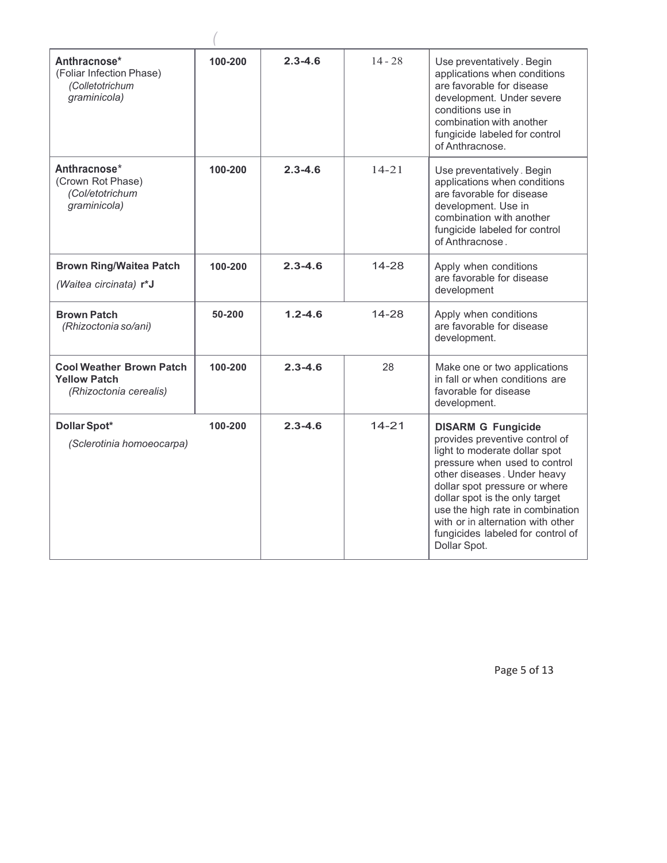| Anthracnose*<br>(Foliar Infection Phase)<br>(Colletotrichum<br>graminicola)      | 100-200 | $2.3 - 4.6$ | $14 - 28$ | Use preventatively. Begin<br>applications when conditions<br>are favorable for disease<br>development. Under severe<br>conditions use in<br>combination with another<br>fungicide labeled for control<br>of Anthracnose.                                                                                                                                      |
|----------------------------------------------------------------------------------|---------|-------------|-----------|---------------------------------------------------------------------------------------------------------------------------------------------------------------------------------------------------------------------------------------------------------------------------------------------------------------------------------------------------------------|
| Anthracnose*<br>(Crown Rot Phase)<br>(Col/etotrichum<br>graminicola)             | 100-200 | $2.3 - 4.6$ | $14 - 21$ | Use preventatively . Begin<br>applications when conditions<br>are favorable for disease<br>development. Use in<br>combination with another<br>fungicide labeled for control<br>of Anthracnose.                                                                                                                                                                |
| <b>Brown Ring/Waitea Patch</b><br>(Waitea circinata) r*J                         | 100-200 | $2.3 - 4.6$ | $14 - 28$ | Apply when conditions<br>are favorable for disease<br>development                                                                                                                                                                                                                                                                                             |
| <b>Brown Patch</b><br>(Rhizoctonia so/ani)                                       | 50-200  | $1.2 - 4.6$ | 14-28     | Apply when conditions<br>are favorable for disease<br>development.                                                                                                                                                                                                                                                                                            |
| <b>Cool Weather Brown Patch</b><br><b>Yellow Patch</b><br>(Rhizoctonia cerealis) | 100-200 | $2.3 - 4.6$ | 28        | Make one or two applications<br>in fall or when conditions are<br>favorable for disease<br>development.                                                                                                                                                                                                                                                       |
| <b>Dollar Spot*</b><br>(Sclerotinia homoeocarpa)                                 | 100-200 | $2.3 - 4.6$ | $14-21$   | <b>DISARM G Fungicide</b><br>provides preventive control of<br>light to moderate dollar spot<br>pressure when used to control<br>other diseases. Under heavy<br>dollar spot pressure or where<br>dollar spot is the only target<br>use the high rate in combination<br>with or in alternation with other<br>fungicides labeled for control of<br>Dollar Spot. |

Page 5 of 13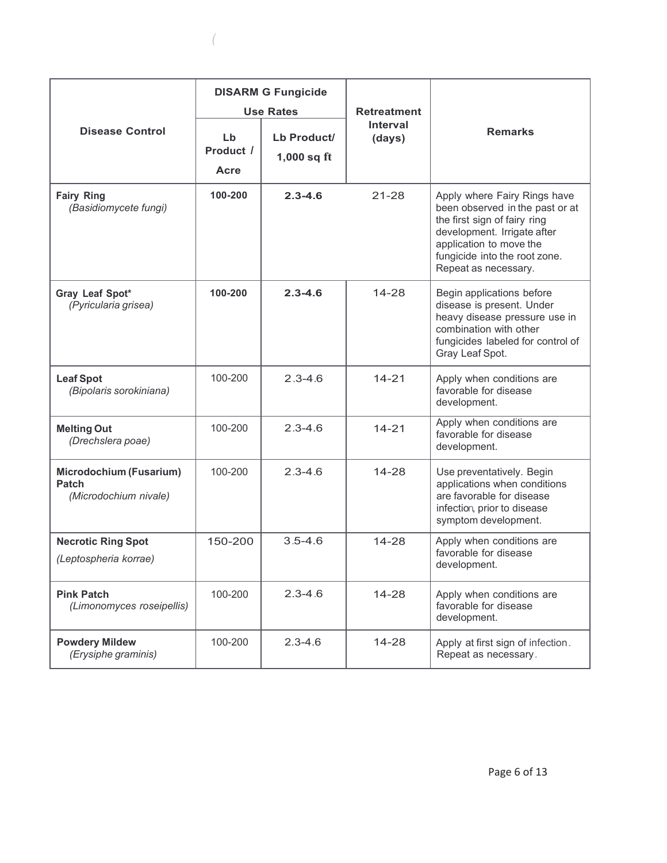|                                                           | <b>DISARM G Fungicide</b> |                              |                           |                                                                                                                                                                                                                    |  |
|-----------------------------------------------------------|---------------------------|------------------------------|---------------------------|--------------------------------------------------------------------------------------------------------------------------------------------------------------------------------------------------------------------|--|
|                                                           | <b>Use Rates</b>          |                              | <b>Retreatment</b>        |                                                                                                                                                                                                                    |  |
| <b>Disease Control</b>                                    | Lb<br>Product /<br>Acre   | Lb Product/<br>$1,000$ sq ft | <b>Interval</b><br>(days) | <b>Remarks</b>                                                                                                                                                                                                     |  |
| <b>Fairy Ring</b><br>(Basidiomycete fungi)                | 100-200                   | $2.3 - 4.6$                  | $21 - 28$                 | Apply where Fairy Rings have<br>been observed in the past or at<br>the first sign of fairy ring<br>development. Irrigate after<br>application to move the<br>fungicide into the root zone.<br>Repeat as necessary. |  |
| Gray Leaf Spot*<br>(Pyricularia grisea)                   | 100-200                   | $2.3 - 4.6$                  | $14 - 28$                 | Begin applications before<br>disease is present. Under<br>heavy disease pressure use in<br>combination with other<br>fungicides labeled for control of<br>Gray Leaf Spot.                                          |  |
| <b>Leaf Spot</b><br>(Bipolaris sorokiniana)               | 100-200                   | $2.3 - 4.6$                  | $14 - 21$                 | Apply when conditions are<br>favorable for disease<br>development.                                                                                                                                                 |  |
| <b>Melting Out</b><br>(Drechslera poae)                   | 100-200                   | $2.3 - 4.6$                  | $14 - 21$                 | Apply when conditions are<br>favorable for disease<br>development.                                                                                                                                                 |  |
| Microdochium (Fusarium)<br>Patch<br>(Microdochium nivale) | 100-200                   | $2.3 - 4.6$                  | $14 - 28$                 | Use preventatively. Begin<br>applications when conditions<br>are favorable for disease<br>infection, prior to disease<br>symptom development.                                                                      |  |
| <b>Necrotic Ring Spot</b>                                 | 150-200                   | $3.5 - 4.6$                  | $14 - 28$                 | Apply when conditions are                                                                                                                                                                                          |  |
| (Leptospheria korrae)                                     |                           |                              |                           | favorable for disease<br>development.                                                                                                                                                                              |  |
| <b>Pink Patch</b><br>(Limonomyces roseipellis)            | 100-200                   | $2.3 - 4.6$                  | 14-28                     | Apply when conditions are<br>favorable for disease<br>development.                                                                                                                                                 |  |
| <b>Powdery Mildew</b><br>(Erysiphe graminis)              | 100-200                   | $2.3 - 4.6$                  | 14-28                     | Apply at first sign of infection.<br>Repeat as necessary.                                                                                                                                                          |  |

*(*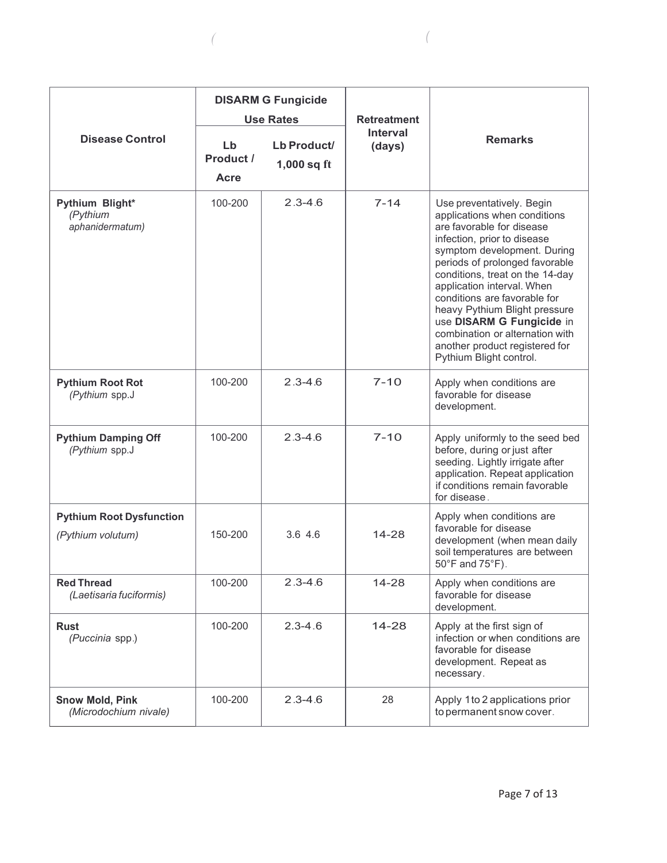|                                                 | <b>DISARM G Fungicide</b><br><b>Use Rates</b> |                              | <b>Retreatment</b>        |                                                                                                                                                                                                                                                                                                                                                                                                                                                       |  |
|-------------------------------------------------|-----------------------------------------------|------------------------------|---------------------------|-------------------------------------------------------------------------------------------------------------------------------------------------------------------------------------------------------------------------------------------------------------------------------------------------------------------------------------------------------------------------------------------------------------------------------------------------------|--|
| <b>Disease Control</b>                          | Lb<br>Product /<br>Acre                       | Lb Product/<br>$1,000$ sq ft | <b>Interval</b><br>(days) | <b>Remarks</b>                                                                                                                                                                                                                                                                                                                                                                                                                                        |  |
| Pythium Blight*<br>(Pythium<br>aphanidermatum)  | 100-200                                       | $2.3 - 4.6$                  | $7 - 14$                  | Use preventatively. Begin<br>applications when conditions<br>are favorable for disease<br>infection, prior to disease<br>symptom development. During<br>periods of prolonged favorable<br>conditions, treat on the 14-day<br>application interval. When<br>conditions are favorable for<br>heavy Pythium Blight pressure<br>use DISARM G Fungicide in<br>combination or alternation with<br>another product registered for<br>Pythium Blight control. |  |
| <b>Pythium Root Rot</b><br>(Pythium spp.J       | 100-200                                       | $2.3 - 4.6$                  | $7 - 10$                  | Apply when conditions are<br>favorable for disease<br>development.                                                                                                                                                                                                                                                                                                                                                                                    |  |
| <b>Pythium Damping Off</b><br>(Pythium spp.J    | 100-200                                       | $2.3 - 4.6$                  | $7 - 10$                  | Apply uniformly to the seed bed<br>before, during or just after<br>seeding. Lightly irrigate after<br>application. Repeat application<br>if conditions remain favorable<br>for disease.                                                                                                                                                                                                                                                               |  |
| <b>Pythium Root Dysfunction</b>                 |                                               |                              |                           | Apply when conditions are                                                                                                                                                                                                                                                                                                                                                                                                                             |  |
| (Pythium volutum)                               | 150-200                                       | 3.64.6                       | $14 - 28$                 | favorable for disease<br>development (when mean daily<br>soil temperatures are between<br>$50^{\circ}$ F and $75^{\circ}$ F).                                                                                                                                                                                                                                                                                                                         |  |
| <b>Red Thread</b><br>(Laetisaria fuciformis)    | 100-200                                       | $2.3 - 4.6$                  | $14 - 28$                 | Apply when conditions are<br>favorable for disease<br>development.                                                                                                                                                                                                                                                                                                                                                                                    |  |
| <b>Rust</b><br>(Puccinia spp.)                  | 100-200                                       | $2.3 - 4.6$                  | $14 - 28$                 | Apply at the first sign of<br>infection or when conditions are<br>favorable for disease<br>development. Repeat as<br>necessary.                                                                                                                                                                                                                                                                                                                       |  |
| <b>Snow Mold, Pink</b><br>(Microdochium nivale) | 100-200                                       | $2.3 - 4.6$                  | 28                        | Apply 1 to 2 applications prior<br>to permanent snow cover.                                                                                                                                                                                                                                                                                                                                                                                           |  |

*( (*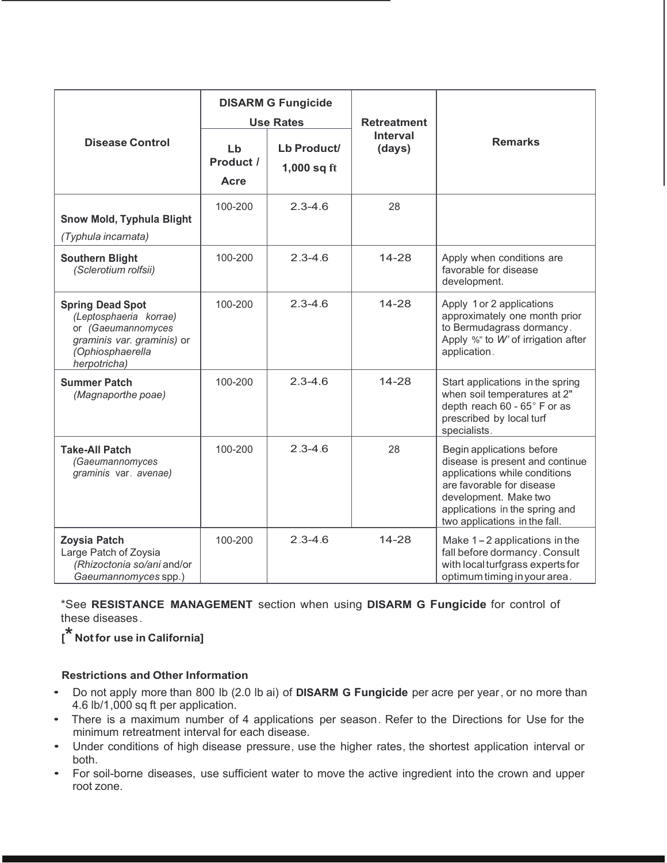| <b>Disease Control</b>                                                                                                                    | <b>DISARM G Fungicide</b><br><b>Use Rates</b><br>Lb<br>Lb Product/<br>Product / |               | <b>Retreatment</b><br><b>Interval</b><br>(days) | <b>Remarks</b>                                                                                                                                                                                                         |
|-------------------------------------------------------------------------------------------------------------------------------------------|---------------------------------------------------------------------------------|---------------|-------------------------------------------------|------------------------------------------------------------------------------------------------------------------------------------------------------------------------------------------------------------------------|
|                                                                                                                                           | Acre                                                                            | $1,000$ sq ft |                                                 |                                                                                                                                                                                                                        |
| <b>Snow Mold, Typhula Blight</b><br>(Typhula incarnata)                                                                                   | 100-200                                                                         | $2.3 - 4.6$   | 28                                              |                                                                                                                                                                                                                        |
| <b>Southern Blight</b><br>(Sclerotium rolfsii)                                                                                            | 100-200                                                                         | $2.3 - 4.6$   | 14-28                                           | Apply when conditions are<br>favorable for disease<br>development.                                                                                                                                                     |
| <b>Spring Dead Spot</b><br>(Leptosphaeria korrae)<br>or (Gaeumannomyces<br>graminis var. graminis) or<br>(Ophiosphaerella<br>herpotricha) | 100-200                                                                         | $2.3 - 4.6$   | $14 - 28$                                       | Apply 1 or 2 applications<br>approximately one month prior<br>to Bermudagrass dormancy.<br>Apply %" to W' of irrigation after<br>application.                                                                          |
| <b>Summer Patch</b><br>(Magnaporthe poae)                                                                                                 | 100-200                                                                         | $2.3 - 4.6$   | 14-28                                           | Start applications in the spring<br>when soil temperatures at 2"<br>depth reach 60 - 65° F or as<br>prescribed by local turf<br>specialists.                                                                           |
| <b>Take-All Patch</b><br>(Gaeumannomyces<br>graminis var. avenae)                                                                         | 100-200                                                                         | $2.3 - 4.6$   | 28                                              | Begin applications before<br>disease is present and continue<br>applications while conditions<br>are favorable for disease<br>development. Make two<br>applications in the spring and<br>two applications in the fall. |
| <b>Zoysia Patch</b><br>Large Patch of Zoysia<br>(Rhizoctonia so/ani and/or<br>Gaeumannomyces spp.)                                        | 100-200                                                                         | $2.3 - 4.6$   | $14 - 28$                                       | Make $1 - 2$ applications in the<br>fall before dormancy. Consult<br>with local turfgrass experts for<br>optimum timing in your area.                                                                                  |

\*See **RESISTANCE MANAGEMENT** section when using **DISARM G Fungicide** for control of these diseases .

**[\* Not for use in California]**

## **Restrictions and Other Information**

- Do not apply more than 800 lb (2.0 lb ai) of **DISARM G Fungicide** per acre per year , or no more than 4.6 lb/1,000 sq ft per application.
- There is a maximum number of 4 applications per season . Refer to the Directions for Use for the minimum retreatment interval for each disease.
- Under conditions of high disease pressure, use the higher rates, the shortest application interval or both.
- For soil-borne diseases, use sufficient water to move the active ingredient into the crown and upper root zone.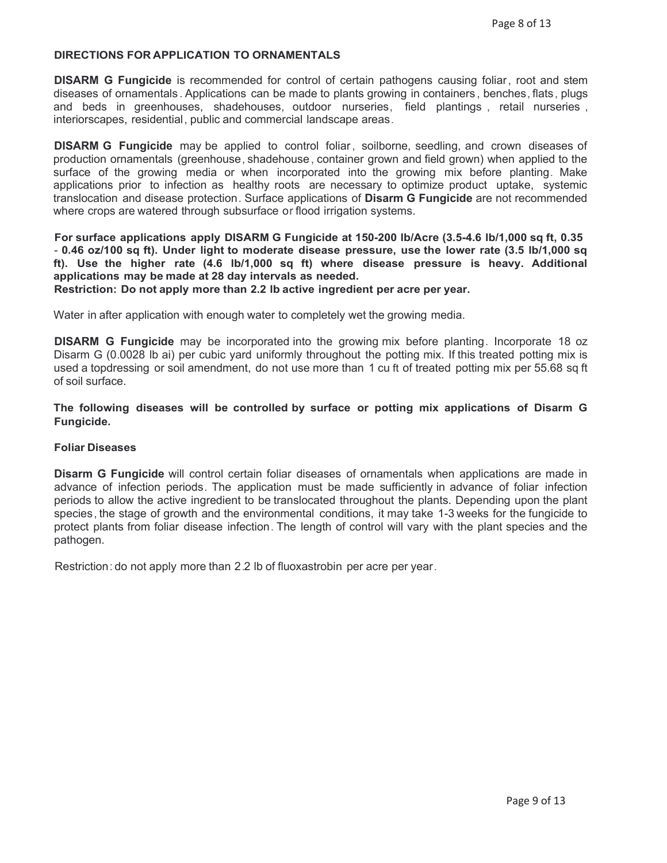#### **DIRECTIONS FOR APPLICATION TO ORNAMENTALS**

**DISARM G Fungicide** is recommended for control of certain pathogens causing foliar , root and stem diseases of ornamentals . Applications can be made to plants growing in containers , benches, flats , plugs and beds in greenhouses, shadehouses, outdoor nurseries, field plantings , retail nurseries , interiorscapes, residential , public and commercial landscape areas.

**DISARM G Fungicide** may be applied to control foliar, soilborne, seedling, and crown diseases of production ornamentals (greenhouse, shadehouse , container grown and field grown) when applied to the surface of the growing media or when incorporated into the growing mix before planting. Make applications prior to infection as healthy roots are necessary to optimize product uptake, systemic translocation and disease protection . Surface applications of **Disarm G Fungicide** are not recommended where crops are watered through subsurface or flood irrigation systems.

**For surface applications apply DISARM G Fungicide at 150-200 lb/Acre (3.5-4.6 lb/1,000 sq ft, 0.35** - **0.46 oz/100 sq ft). Under light to moderate disease pressure, use the lower rate (3.5 lb/1,000 sq ft). Use the higher rate (4.6 lb/1,000 sq ft) where disease pressure is heavy. Additional applications may be made at 28 day intervals as needed.**

**Restriction: Do not apply more than 2.2 lb active ingredient per acre per year.**

Water in after application with enough water to completely wet the growing media.

**DISARM G Fungicide** may be incorporated into the growing mix before planting. Incorporate 18 oz Disarm G (0.0028 lb ai) per cubic yard uniformly throughout the potting mix. If this treated potting mix is used a topdressing or soil amendment, do not use more than 1 cu ft of treated potting mix per 55.68 sq ft of soil surface.

**The following diseases will be controlled by surface or potting mix applications of Disarm G Fungicide.**

#### **Foliar Diseases**

**Disarm G Fungicide** will control certain foliar diseases of ornamentals when applications are made in advance of infection periods. The application must be made sufficiently in advance of foliar infection periods to allow the active ingredient to be translocated throughout the plants. Depending upon the plant species , the stage of growth and the environmental conditions, it may take 1-3 weeks for the fungicide to protect plants from foliar disease infection. The length of control will vary with the plant species and the pathogen.

Restriction: do not apply more than 2.2 lb of fluoxastrobin per acre per year.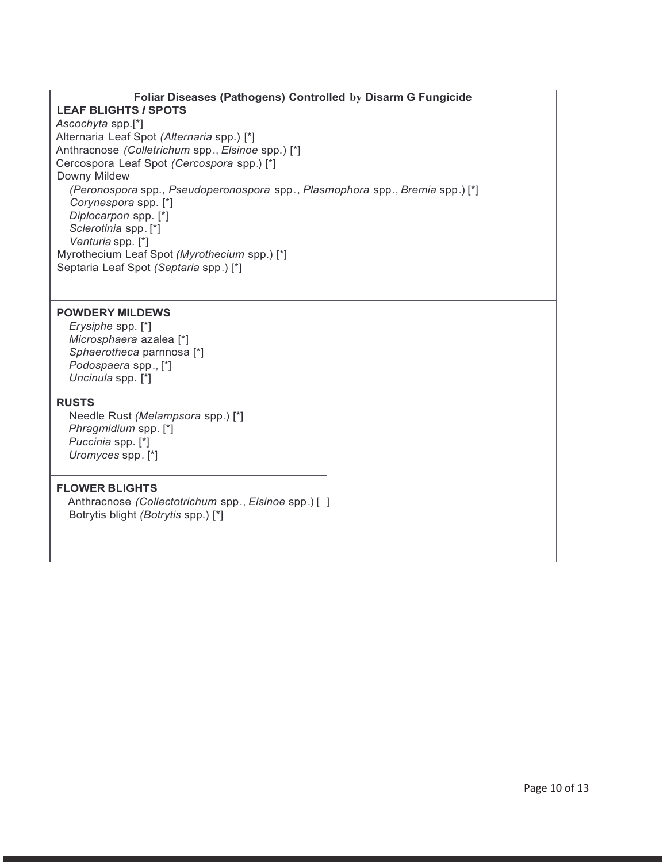### **Foliar Diseases (Pathogens) Controlled by Disarm G Fungicide**

## **LEAF BLIGHTS** *I* **SPOTS**

*Ascochyta* spp.[\*] Alternaria Leaf Spot *(Alternaria* spp.) [\*] Anthracnose *(Colletrichum* spp ., *Elsinoe* spp.) [\*] Cercospora Leaf Spot *(Cercospora* spp.) [\*] Downy Mildew *(Peronospora* spp., *Pseudoperonospora* spp., *Plasmophora* spp., *Bremia* spp.) [\*] *Corynespora* spp. [\*] *Diplocarpon* spp. [\*] *Sclerotinia* spp. [\*] *Venturia* spp. [\*] Myrothecium Leaf Spot *(Myrothecium* spp.) [\*] Septaria Leaf Spot *(Septaria* spp.) [\*]

## **POWDERY MILDEWS**

*Erysiphe* spp. [\*] *Microsphaera* azalea [\*] *Sphaerotheca* parnnosa [\*] *Podospaera* spp., [\*] *Uncinula* spp. [\*]

#### **RUSTS**

Needle Rust *(Melampsora* spp.) [\*] *Phragmidium* spp. [\*] *Puccinia* spp. [\*] *Uromyces* spp . [\*]

## **FLOWER BLIGHTS**

] Anthracnose *(Collectotrichum* spp., *Elsinoe* spp .) [ Botrytis blight *(Botrytis* spp.) [\*]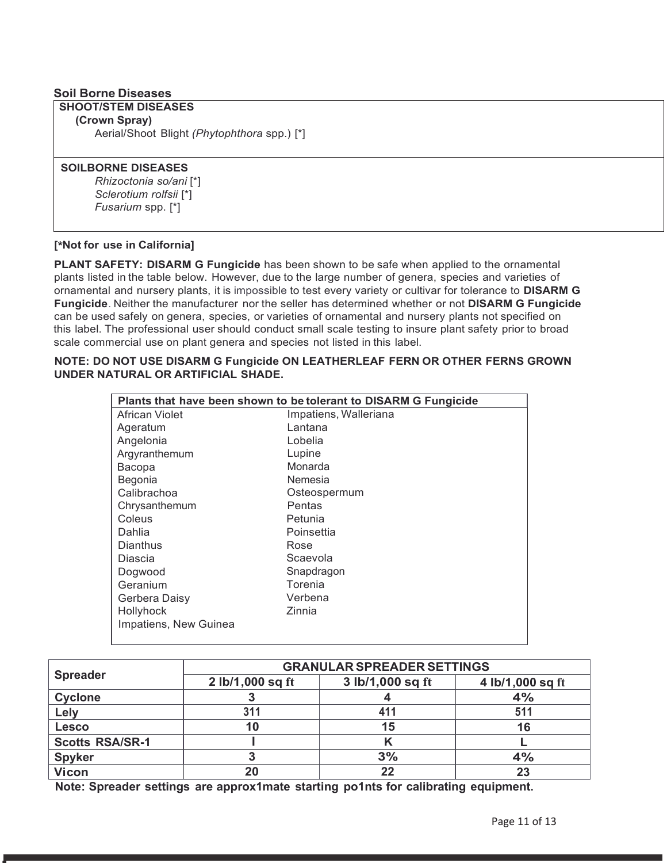## **Soil Borne Diseases**

## **SHOOT/STEM DISEASES**

**(Crown Spray)**

Aerial/Shoot Blight *(Phytophthora* spp.) [\*]

#### **SOILBORNE DISEASES**

*Rhizoctonia so/ani* [\*] *Sclerotium rolfsii* [\*] *Fusarium* spp. [\*]

### **[\* Not for use in California]**

**PLANT SAFETY: DISARM G Fungicide** has been shown to be safe when applied to the ornamental plants listed in the table below. However, due to the large number of genera, species and varieties of ornamental and nursery plants, it is impossible to test every variety or cultivar for tolerance to **DISARM G Fungicide**. Neither the manufacturer nor the seller has determined whether or not **DISARM G Fungicide** can be used safely on genera, species, or varieties of ornamental and nursery plants not specified on this label. The professional user should conduct small scale testing to insure plant safety prior to broad scale commercial use on plant genera and species not listed in this label.

#### **NOTE: DO NOT USE DISARM G Fungicide ON LEATHERLEAF FERN OR OTHER FERNS GROWN UNDER NATURAL OR ARTIFICIAL SHADE.**

| Plants that have been shown to be tolerant to DISARM G Fungicide |                       |  |  |
|------------------------------------------------------------------|-----------------------|--|--|
| African Violet                                                   | Impatiens, Walleriana |  |  |
| Ageratum                                                         | Lantana               |  |  |
| Angelonia                                                        | Lobelia               |  |  |
| Argyranthemum                                                    | Lupine                |  |  |
| Bacopa                                                           | Monarda               |  |  |
| Begonia                                                          | Nemesia               |  |  |
| Calibrachoa                                                      | Osteospermum          |  |  |
| Chrysanthemum                                                    | Pentas                |  |  |
| Coleus                                                           | Petunia               |  |  |
| Dahlia                                                           | Poinsettia            |  |  |
| Dianthus                                                         | Rose                  |  |  |
| Diascia                                                          | Scaevola              |  |  |
| Dogwood                                                          | Snapdragon            |  |  |
| Geranium                                                         | Torenia               |  |  |
| Gerbera Daisy                                                    | Verbena               |  |  |
| Hollyhock                                                        | Zinnia                |  |  |
| Impatiens, New Guinea                                            |                       |  |  |

|                        | <b>GRANULAR SPREADER SETTINGS</b> |                  |                  |  |  |  |
|------------------------|-----------------------------------|------------------|------------------|--|--|--|
| <b>Spreader</b>        | 2 lb/1,000 sq ft                  | 3 lb/1,000 sq ft | 4 lb/1,000 sq ft |  |  |  |
| <b>Cyclone</b>         |                                   |                  | 4%               |  |  |  |
| Lely                   | 311                               | 411              | 511              |  |  |  |
| <b>Lesco</b>           | 10                                | 15               | 16               |  |  |  |
| <b>Scotts RSA/SR-1</b> |                                   |                  |                  |  |  |  |
| <b>Spyker</b>          |                                   | 3%               | 4%               |  |  |  |
| <b>Vicon</b>           | 20                                | 22               | 23               |  |  |  |

**Note: Spreader settings are approx1mate starting po1nts for calibrating equipment.**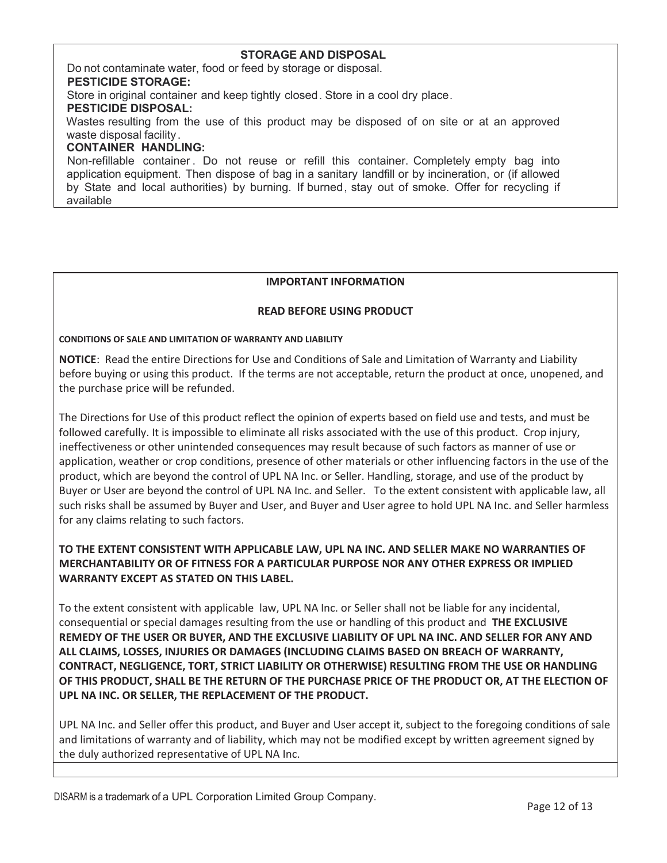## **STORAGE AND DISPOSAL**

Do not contaminate water, food or feed by storage or disposal.

#### **PESTICIDE STORAGE:**

Store in original container and keep tightly closed . Store in a cool dry place.

#### **PESTICIDE DISPOSAL:**

Wastes resulting from the use of this product may be disposed of on site or at an approved waste disposal facility .

#### **CONTAINER HANDLING:**

Non-refillable container . Do not reuse or refill this container. Completely empty bag into application equipment. Then dispose of bag in a sanitary landfill or by incineration, or (if allowed by State and local authorities) by burning. If burned, stay out of smoke. Offer for recycling if available

### **IMPORTANT INFORMATION**

### **READ BEFORE USING PRODUCT**

#### **CONDITIONS OF SALE AND LIMITATION OF WARRANTY AND LIABILITY**

**NOTICE**: Read the entire Directions for Use and Conditions of Sale and Limitation of Warranty and Liability before buying or using this product. If the terms are not acceptable, return the product at once, unopened, and the purchase price will be refunded.

The Directions for Use of this product reflect the opinion of experts based on field use and tests, and must be followed carefully. It is impossible to eliminate all risks associated with the use of this product. Crop injury, ineffectiveness or other unintended consequences may result because of such factors as manner of use or application, weather or crop conditions, presence of other materials or other influencing factors in the use of the product, which are beyond the control of UPL NA Inc. or Seller. Handling, storage, and use of the product by Buyer or User are beyond the control of UPL NA Inc. and Seller. To the extent consistent with applicable law, all such risks shall be assumed by Buyer and User, and Buyer and User agree to hold UPL NA Inc. and Seller harmless for any claims relating to such factors.

## **TO THE EXTENT CONSISTENT WITH APPLICABLE LAW, UPL NA INC. AND SELLER MAKE NO WARRANTIES OF MERCHANTABILITY OR OF FITNESS FOR A PARTICULAR PURPOSE NOR ANY OTHER EXPRESS OR IMPLIED WARRANTY EXCEPT AS STATED ON THIS LABEL.**

To the extent consistent with applicable law, UPL NA Inc. or Seller shall not be liable for any incidental, consequential or special damages resulting from the use or handling of this product and **THE EXCLUSIVE REMEDY OF THE USER OR BUYER, AND THE EXCLUSIVE LIABILITY OF UPL NA INC. AND SELLER FOR ANY AND ALL CLAIMS, LOSSES, INJURIES OR DAMAGES (INCLUDING CLAIMS BASED ON BREACH OF WARRANTY, CONTRACT, NEGLIGENCE, TORT, STRICT LIABILITY OR OTHERWISE) RESULTING FROM THE USE OR HANDLING OF THIS PRODUCT, SHALL BE THE RETURN OF THE PURCHASE PRICE OF THE PRODUCT OR, AT THE ELECTION OF UPL NA INC. OR SELLER, THE REPLACEMENT OF THE PRODUCT.**

UPL NA Inc. and Seller offer this product, and Buyer and User accept it, subject to the foregoing conditions of sale and limitations of warranty and of liability, which may not be modified except by written agreement signed by the duly authorized representative of UPL NA Inc.